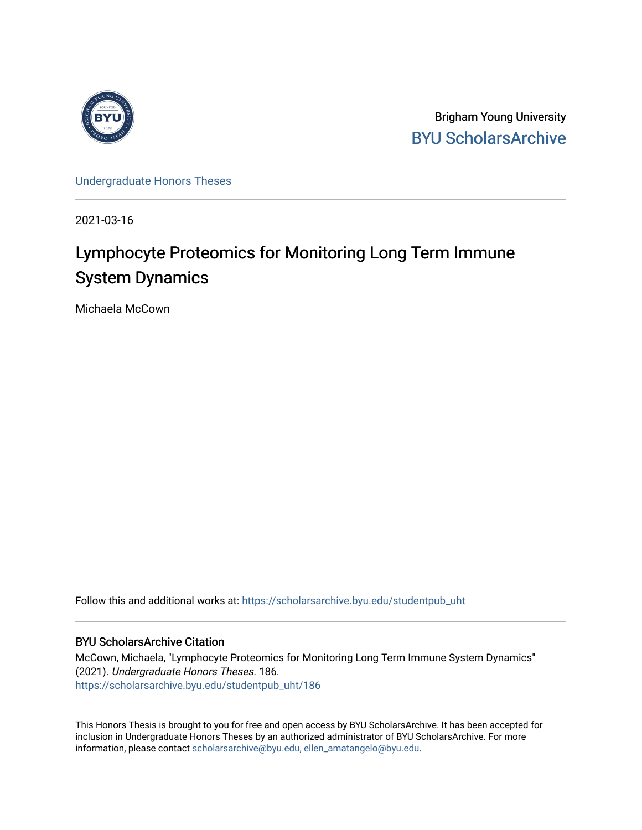

Brigham Young University [BYU ScholarsArchive](https://scholarsarchive.byu.edu/) 

[Undergraduate Honors Theses](https://scholarsarchive.byu.edu/studentpub_uht) 

2021-03-16

# Lymphocyte Proteomics for Monitoring Long Term Immune System Dynamics

Michaela McCown

Follow this and additional works at: [https://scholarsarchive.byu.edu/studentpub\\_uht](https://scholarsarchive.byu.edu/studentpub_uht?utm_source=scholarsarchive.byu.edu%2Fstudentpub_uht%2F186&utm_medium=PDF&utm_campaign=PDFCoverPages) 

# BYU ScholarsArchive Citation

McCown, Michaela, "Lymphocyte Proteomics for Monitoring Long Term Immune System Dynamics" (2021). Undergraduate Honors Theses. 186. [https://scholarsarchive.byu.edu/studentpub\\_uht/186](https://scholarsarchive.byu.edu/studentpub_uht/186?utm_source=scholarsarchive.byu.edu%2Fstudentpub_uht%2F186&utm_medium=PDF&utm_campaign=PDFCoverPages)

This Honors Thesis is brought to you for free and open access by BYU ScholarsArchive. It has been accepted for inclusion in Undergraduate Honors Theses by an authorized administrator of BYU ScholarsArchive. For more information, please contact [scholarsarchive@byu.edu, ellen\\_amatangelo@byu.edu.](mailto:scholarsarchive@byu.edu,%20ellen_amatangelo@byu.edu)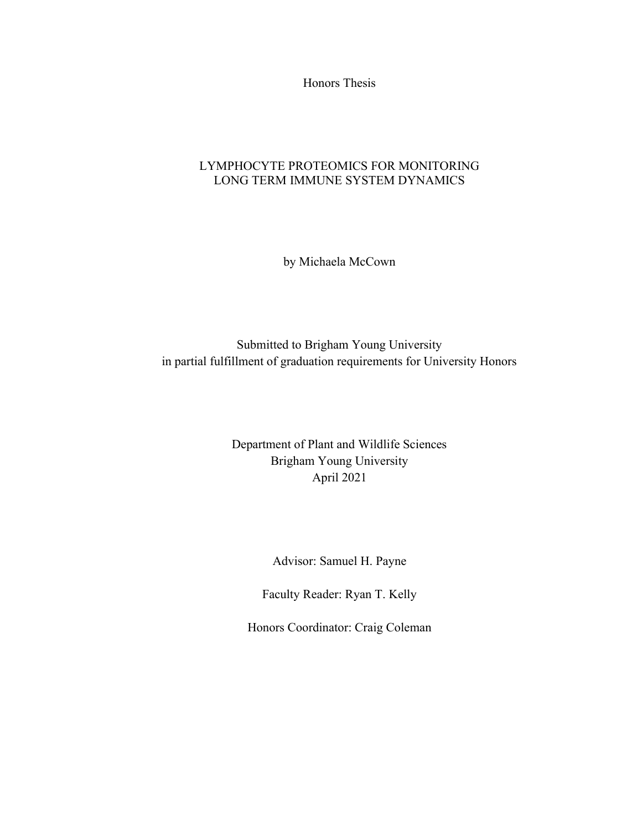Honors Thesis

# LYMPHOCYTE PROTEOMICS FOR MONITORING LONG TERM IMMUNE SYSTEM DYNAMICS

by Michaela McCown

Submitted to Brigham Young University in partial fulfillment of graduation requirements for University Honors

> Department of Plant and Wildlife Sciences Brigham Young University April 2021

> > Advisor: Samuel H. Payne

Faculty Reader: Ryan T. Kelly

Honors Coordinator: Craig Coleman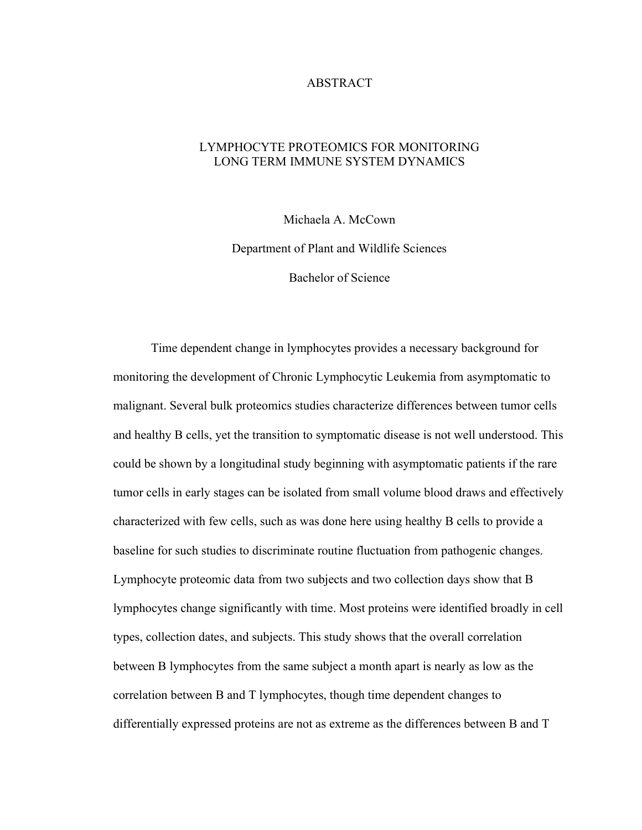# ABSTRACT

# LYMPHOCYTE PROTEOMICS FOR MONITORING LONG TERM IMMUNE SYSTEM DYNAMICS

Michaela A. McCown

Department of Plant and Wildlife Sciences

Bachelor of Science

 Time dependent change in lymphocytes provides a necessary background for monitoring the development of Chronic Lymphocytic Leukemia from asymptomatic to malignant. Several bulk proteomics studies characterize differences between tumor cells and healthy B cells, yet the transition to symptomatic disease is not well understood. This could be shown by a longitudinal study beginning with asymptomatic patients if the rare tumor cells in early stages can be isolated from small volume blood draws and effectively characterized with few cells, such as was done here using healthy B cells to provide a baseline for such studies to discriminate routine fluctuation from pathogenic changes. Lymphocyte proteomic data from two subjects and two collection days show that B lymphocytes change significantly with time. Most proteins were identified broadly in cell types, collection dates, and subjects. This study shows that the overall correlation between B lymphocytes from the same subject a month apart is nearly as low as the correlation between B and T lymphocytes, though time dependent changes to differentially expressed proteins are not as extreme as the differences between B and T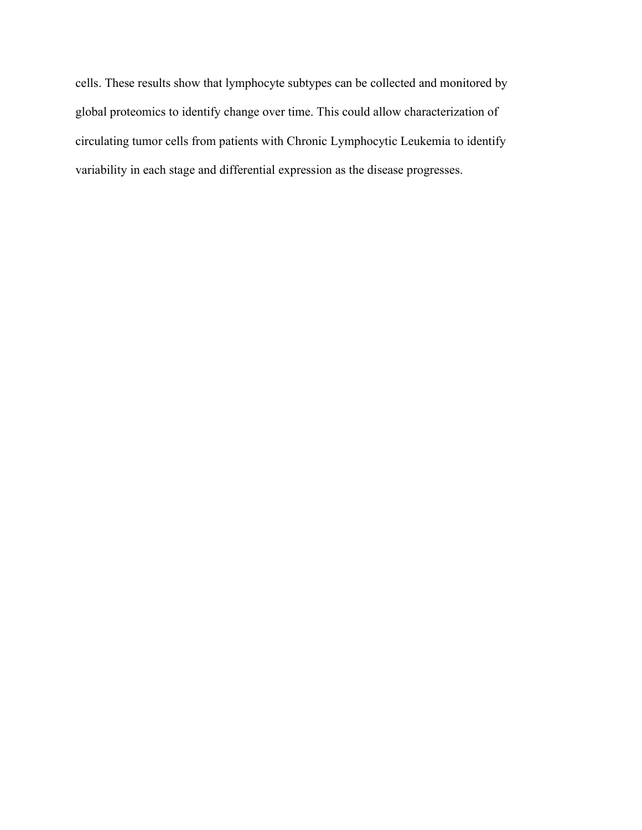cells. These results show that lymphocyte subtypes can be collected and monitored by global proteomics to identify change over time. This could allow characterization of circulating tumor cells from patients with Chronic Lymphocytic Leukemia to identify variability in each stage and differential expression as the disease progresses.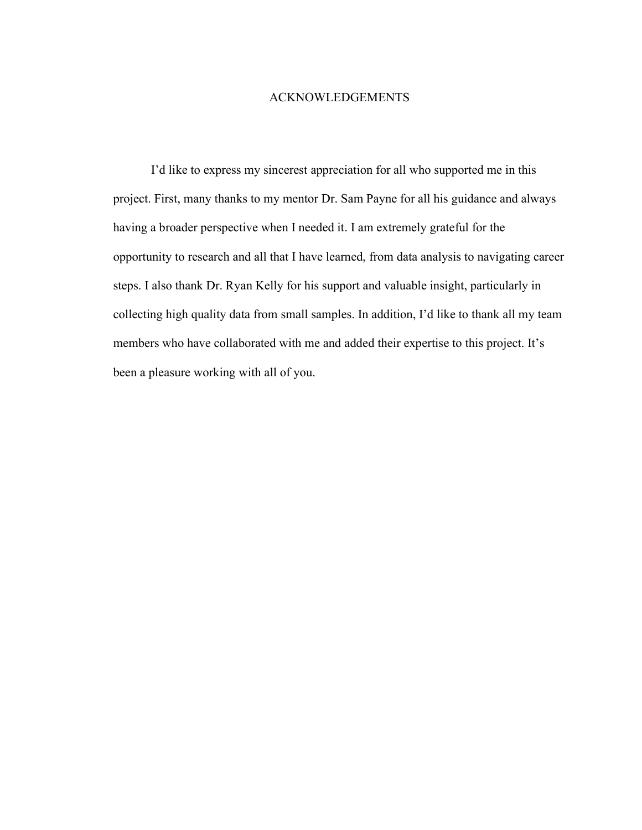## ACKNOWLEDGEMENTS

 I'd like to express my sincerest appreciation for all who supported me in this project. First, many thanks to my mentor Dr. Sam Payne for all his guidance and always having a broader perspective when I needed it. I am extremely grateful for the opportunity to research and all that I have learned, from data analysis to navigating career steps. I also thank Dr. Ryan Kelly for his support and valuable insight, particularly in collecting high quality data from small samples. In addition, I'd like to thank all my team members who have collaborated with me and added their expertise to this project. It's been a pleasure working with all of you.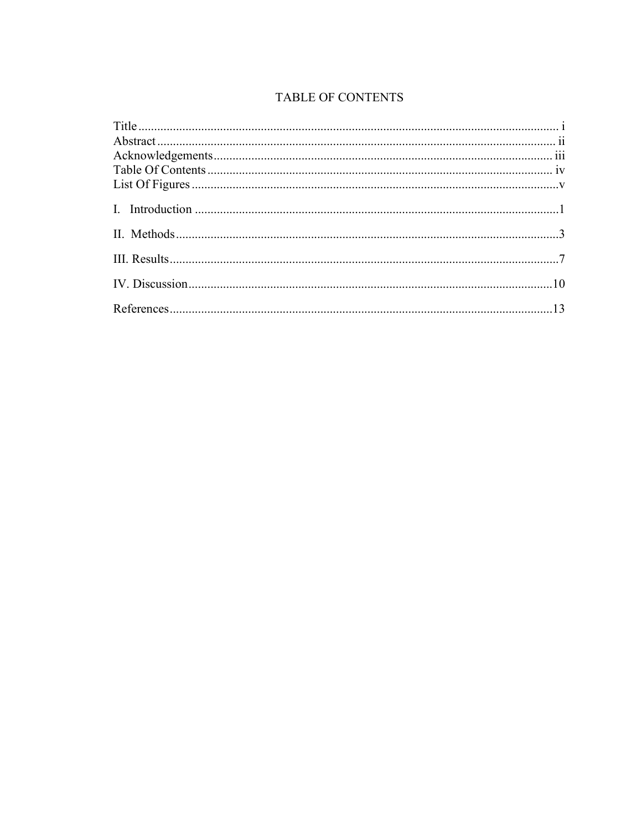# TABLE OF CONTENTS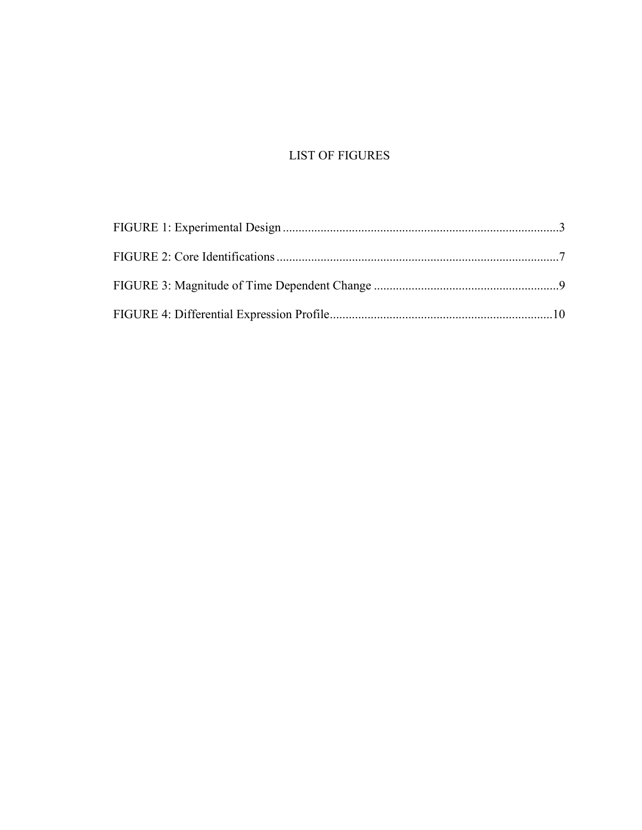# LIST OF FIGURES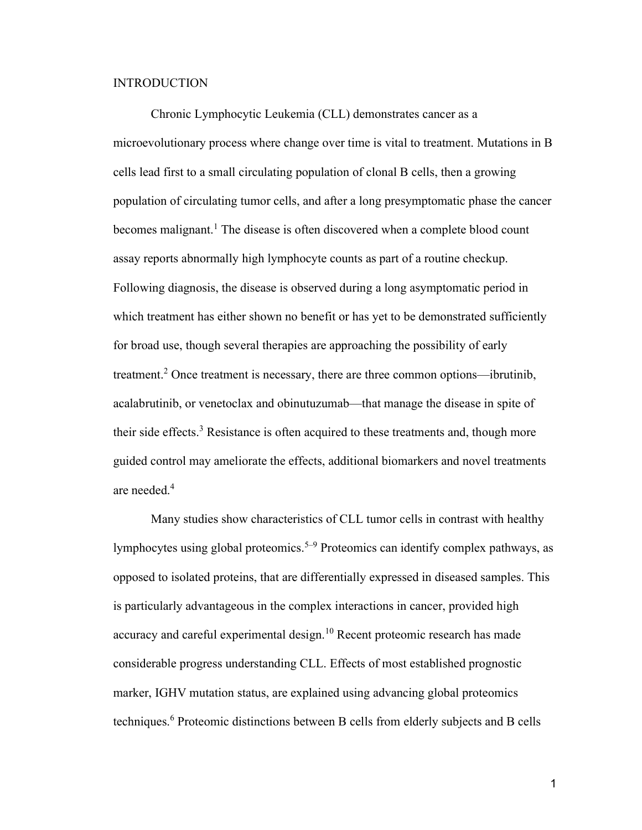# INTRODUCTION

Chronic Lymphocytic Leukemia (CLL) demonstrates cancer as a microevolutionary process where change over time is vital to treatment. Mutations in B cells lead first to a small circulating population of clonal B cells, then a growing population of circulating tumor cells, and after a long presymptomatic phase the cancer becomes malignant.<sup>1</sup> The disease is often discovered when a complete blood count assay reports abnormally high lymphocyte counts as part of a routine checkup. Following diagnosis, the disease is observed during a long asymptomatic period in which treatment has either shown no benefit or has yet to be demonstrated sufficiently for broad use, though several therapies are approaching the possibility of early treatment.<sup>2</sup> Once treatment is necessary, there are three common options—ibrutinib, acalabrutinib, or venetoclax and obinutuzumab—that manage the disease in spite of their side effects.<sup>3</sup> Resistance is often acquired to these treatments and, though more guided control may ameliorate the effects, additional biomarkers and novel treatments are needed.<sup>4</sup>

Many studies show characteristics of CLL tumor cells in contrast with healthy lymphocytes using global proteomics.<sup>5–9</sup> Proteomics can identify complex pathways, as opposed to isolated proteins, that are differentially expressed in diseased samples. This is particularly advantageous in the complex interactions in cancer, provided high accuracy and careful experimental design.<sup>10</sup> Recent proteomic research has made considerable progress understanding CLL. Effects of most established prognostic marker, IGHV mutation status, are explained using advancing global proteomics techniques.<sup>6</sup> Proteomic distinctions between B cells from elderly subjects and B cells

1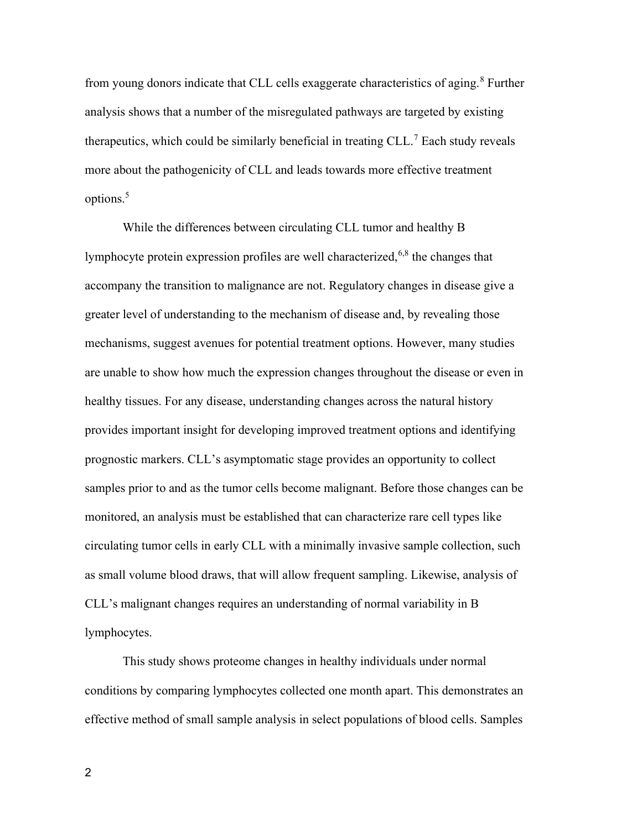from young donors indicate that CLL cells exaggerate characteristics of aging.<sup>8</sup> Further analysis shows that a number of the misregulated pathways are targeted by existing therapeutics, which could be similarly beneficial in treating  $CLL$ <sup>7</sup> Each study reveals more about the pathogenicity of CLL and leads towards more effective treatment options.<sup>5</sup>

While the differences between circulating CLL tumor and healthy B lymphocyte protein expression profiles are well characterized,  $6,8$  the changes that accompany the transition to malignance are not. Regulatory changes in disease give a greater level of understanding to the mechanism of disease and, by revealing those mechanisms, suggest avenues for potential treatment options. However, many studies are unable to show how much the expression changes throughout the disease or even in healthy tissues. For any disease, understanding changes across the natural history provides important insight for developing improved treatment options and identifying prognostic markers. CLL's asymptomatic stage provides an opportunity to collect samples prior to and as the tumor cells become malignant. Before those changes can be monitored, an analysis must be established that can characterize rare cell types like circulating tumor cells in early CLL with a minimally invasive sample collection, such as small volume blood draws, that will allow frequent sampling. Likewise, analysis of CLL's malignant changes requires an understanding of normal variability in B lymphocytes.

This study shows proteome changes in healthy individuals under normal conditions by comparing lymphocytes collected one month apart. This demonstrates an effective method of small sample analysis in select populations of blood cells. Samples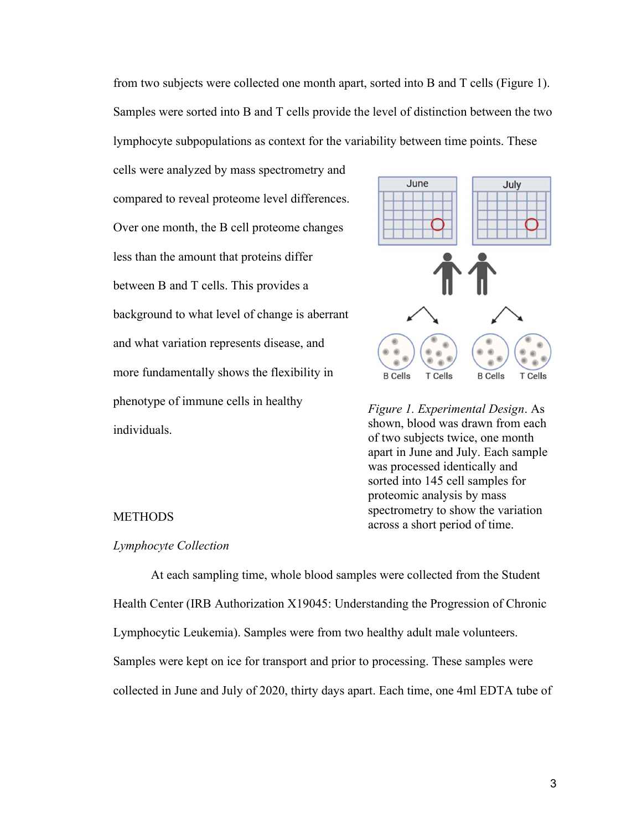from two subjects were collected one month apart, sorted into B and T cells (Figure 1). Samples were sorted into B and T cells provide the level of distinction between the two lymphocyte subpopulations as context for the variability between time points. These

cells were analyzed by mass spectrometry and compared to reveal proteome level differences. Over one month, the B cell proteome changes less than the amount that proteins differ between B and T cells. This provides a background to what level of change is aberrant and what variation represents disease, and more fundamentally shows the flexibility in phenotype of immune cells in healthy individuals.



Figure 1. Experimental Design. As shown, blood was drawn from each of two subjects twice, one month apart in June and July. Each sample was processed identically and sorted into 145 cell samples for proteomic analysis by mass spectrometry to show the variation across a short period of time.

# METHODS

#### Lymphocyte Collection

At each sampling time, whole blood samples were collected from the Student Health Center (IRB Authorization X19045: Understanding the Progression of Chronic Lymphocytic Leukemia). Samples were from two healthy adult male volunteers. Samples were kept on ice for transport and prior to processing. These samples were collected in June and July of 2020, thirty days apart. Each time, one 4ml EDTA tube of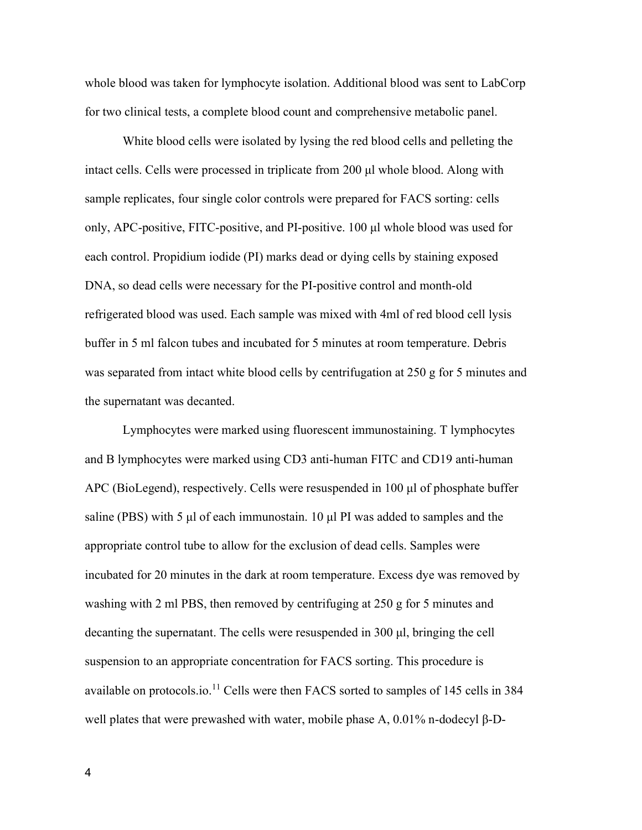whole blood was taken for lymphocyte isolation. Additional blood was sent to LabCorp for two clinical tests, a complete blood count and comprehensive metabolic panel.

 White blood cells were isolated by lysing the red blood cells and pelleting the intact cells. Cells were processed in triplicate from 200 μl whole blood. Along with sample replicates, four single color controls were prepared for FACS sorting: cells only, APC-positive, FITC-positive, and PI-positive. 100 μl whole blood was used for each control. Propidium iodide (PI) marks dead or dying cells by staining exposed DNA, so dead cells were necessary for the PI-positive control and month-old refrigerated blood was used. Each sample was mixed with 4ml of red blood cell lysis buffer in 5 ml falcon tubes and incubated for 5 minutes at room temperature. Debris was separated from intact white blood cells by centrifugation at 250 g for 5 minutes and the supernatant was decanted.

 Lymphocytes were marked using fluorescent immunostaining. T lymphocytes and B lymphocytes were marked using CD3 anti-human FITC and CD19 anti-human APC (BioLegend), respectively. Cells were resuspended in 100 μl of phosphate buffer saline (PBS) with 5  $\mu$ l of each immunostain. 10  $\mu$ l PI was added to samples and the appropriate control tube to allow for the exclusion of dead cells. Samples were incubated for 20 minutes in the dark at room temperature. Excess dye was removed by washing with 2 ml PBS, then removed by centrifuging at 250 g for 5 minutes and decanting the supernatant. The cells were resuspended in 300 μl, bringing the cell suspension to an appropriate concentration for FACS sorting. This procedure is available on protocols.io.<sup>11</sup> Cells were then FACS sorted to samples of 145 cells in 384 well plates that were prewashed with water, mobile phase A, 0.01% n-dodecyl β-D-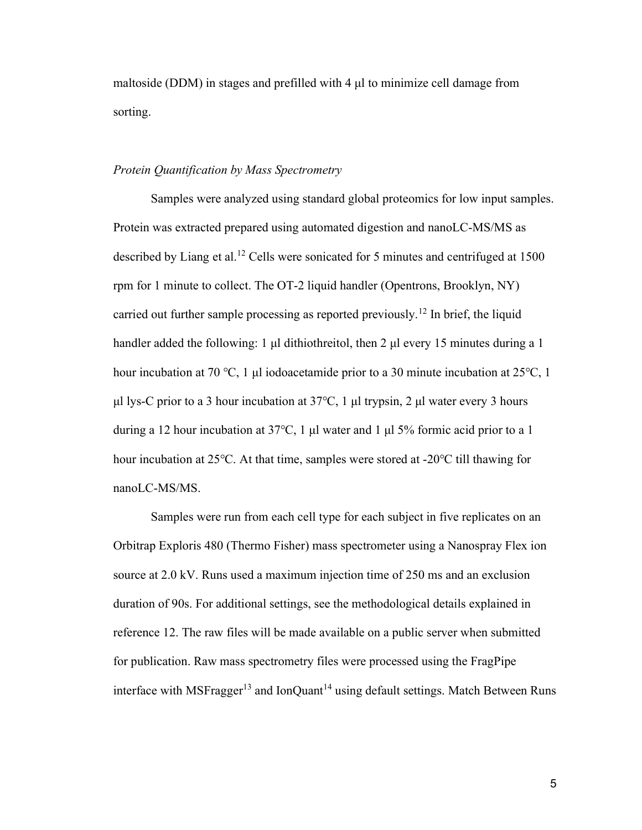maltoside (DDM) in stages and prefilled with 4 μl to minimize cell damage from sorting.

# Protein Quantification by Mass Spectrometry

Samples were analyzed using standard global proteomics for low input samples. Protein was extracted prepared using automated digestion and nanoLC-MS/MS as described by Liang et al.<sup>12</sup> Cells were sonicated for 5 minutes and centrifuged at  $1500$ rpm for 1 minute to collect. The OT-2 liquid handler (Opentrons, Brooklyn, NY) carried out further sample processing as reported previously.<sup>12</sup> In brief, the liquid handler added the following: 1 μl dithiothreitol, then 2 μl every 15 minutes during a 1 hour incubation at 70 ℃, 1 μl iodoacetamide prior to a 30 minute incubation at 25℃, 1 μl lys-C prior to a 3 hour incubation at 37℃, 1 μl trypsin, 2 μl water every 3 hours during a 12 hour incubation at 37℃, 1 μl water and 1 μl 5% formic acid prior to a 1 hour incubation at 25℃. At that time, samples were stored at -20℃ till thawing for nanoLC-MS/MS.

Samples were run from each cell type for each subject in five replicates on an Orbitrap Exploris 480 (Thermo Fisher) mass spectrometer using a Nanospray Flex ion source at 2.0 kV. Runs used a maximum injection time of 250 ms and an exclusion duration of 90s. For additional settings, see the methodological details explained in reference 12. The raw files will be made available on a public server when submitted for publication. Raw mass spectrometry files were processed using the FragPipe interface with MSFragger<sup>13</sup> and IonQuant<sup>14</sup> using default settings. Match Between Runs

5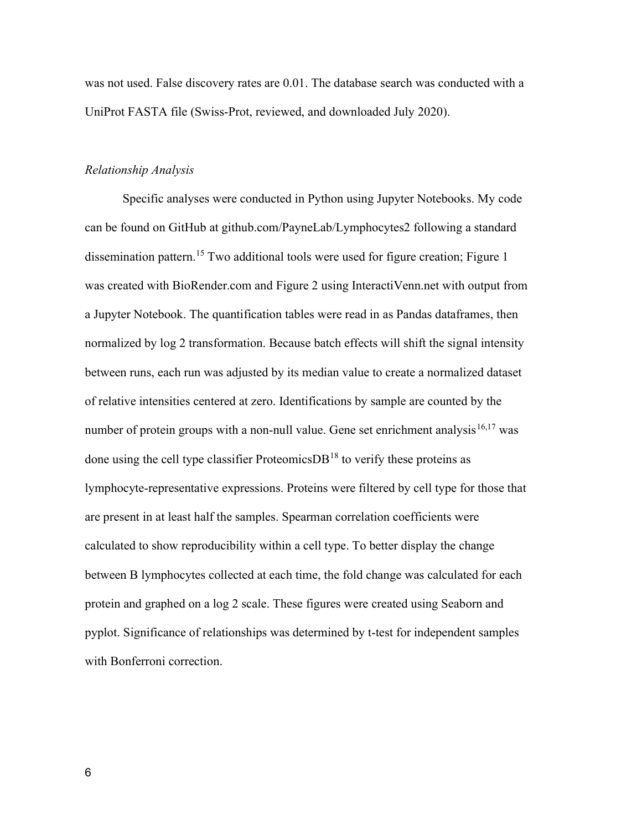was not used. False discovery rates are 0.01. The database search was conducted with a UniProt FASTA file (Swiss-Prot, reviewed, and downloaded July 2020).

# Relationship Analysis

Specific analyses were conducted in Python using Jupyter Notebooks. My code can be found on GitHub at github.com/PayneLab/Lymphocytes2 following a standard dissemination pattern.<sup>15</sup> Two additional tools were used for figure creation; Figure 1 was created with BioRender.com and Figure 2 using InteractiVenn.net with output from a Jupyter Notebook. The quantification tables were read in as Pandas dataframes, then normalized by log 2 transformation. Because batch effects will shift the signal intensity between runs, each run was adjusted by its median value to create a normalized dataset of relative intensities centered at zero. Identifications by sample are counted by the number of protein groups with a non-null value. Gene set enrichment analysis<sup>16,17</sup> was done using the cell type classifier Proteomics $DB^{18}$  to verify these proteins as lymphocyte-representative expressions. Proteins were filtered by cell type for those that are present in at least half the samples. Spearman correlation coefficients were calculated to show reproducibility within a cell type. To better display the change between B lymphocytes collected at each time, the fold change was calculated for each protein and graphed on a log 2 scale. These figures were created using Seaborn and pyplot. Significance of relationships was determined by t-test for independent samples with Bonferroni correction.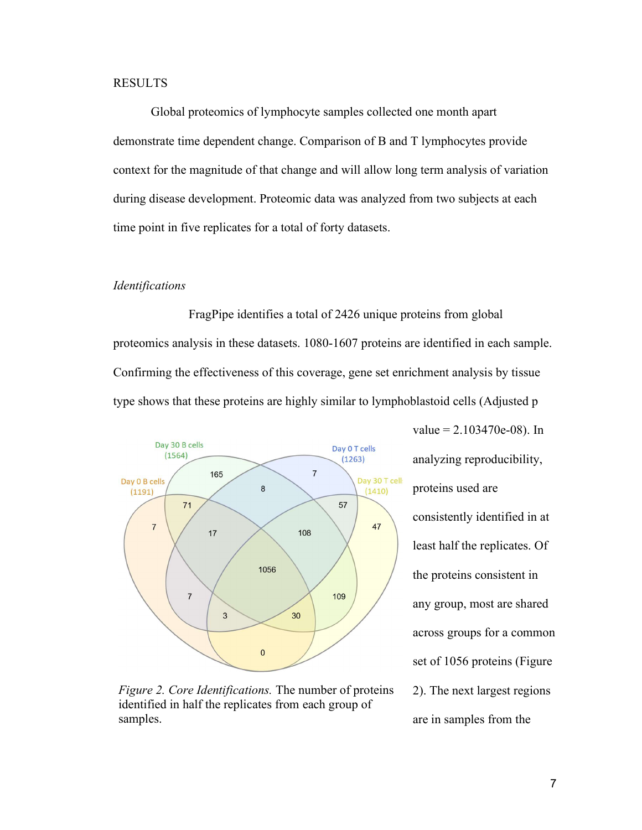# RESULTS

Global proteomics of lymphocyte samples collected one month apart demonstrate time dependent change. Comparison of B and T lymphocytes provide context for the magnitude of that change and will allow long term analysis of variation during disease development. Proteomic data was analyzed from two subjects at each time point in five replicates for a total of forty datasets.

# Identifications

 FragPipe identifies a total of 2426 unique proteins from global proteomics analysis in these datasets. 1080-1607 proteins are identified in each sample. Confirming the effectiveness of this coverage, gene set enrichment analysis by tissue type shows that these proteins are highly similar to lymphoblastoid cells (Adjusted p



Figure 2. Core Identifications. The number of proteins identified in half the replicates from each group of samples.

 $value = 2.103470e-08$ ). In analyzing reproducibility, proteins used are consistently identified in at least half the replicates. Of the proteins consistent in any group, most are shared across groups for a common set of 1056 proteins (Figure 2). The next largest regions are in samples from the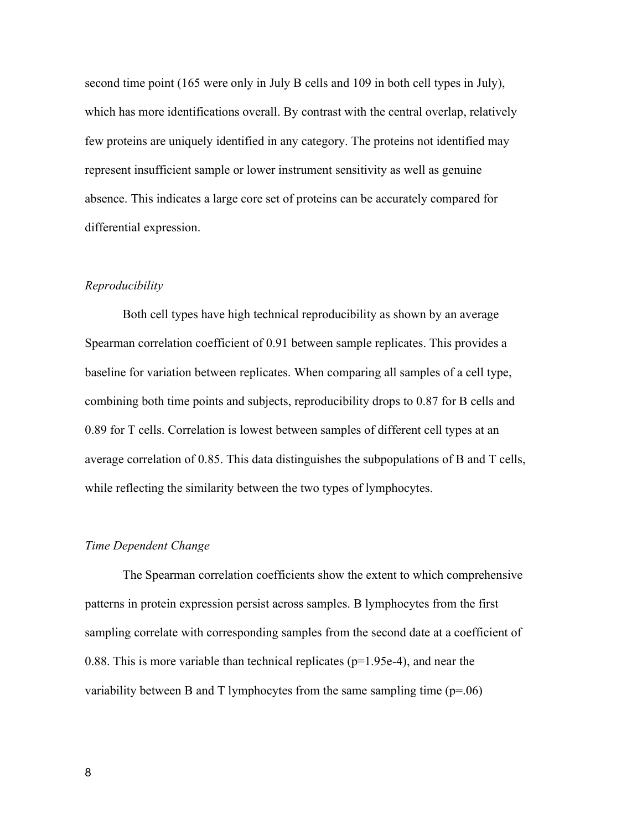second time point (165 were only in July B cells and 109 in both cell types in July), which has more identifications overall. By contrast with the central overlap, relatively few proteins are uniquely identified in any category. The proteins not identified may represent insufficient sample or lower instrument sensitivity as well as genuine absence. This indicates a large core set of proteins can be accurately compared for differential expression.

# Reproducibility

Both cell types have high technical reproducibility as shown by an average Spearman correlation coefficient of 0.91 between sample replicates. This provides a baseline for variation between replicates. When comparing all samples of a cell type, combining both time points and subjects, reproducibility drops to 0.87 for B cells and 0.89 for T cells. Correlation is lowest between samples of different cell types at an average correlation of 0.85. This data distinguishes the subpopulations of B and T cells, while reflecting the similarity between the two types of lymphocytes.

# Time Dependent Change

 The Spearman correlation coefficients show the extent to which comprehensive patterns in protein expression persist across samples. B lymphocytes from the first sampling correlate with corresponding samples from the second date at a coefficient of 0.88. This is more variable than technical replicates ( $p=1.95e-4$ ), and near the variability between B and T lymphocytes from the same sampling time  $(p=0.06)$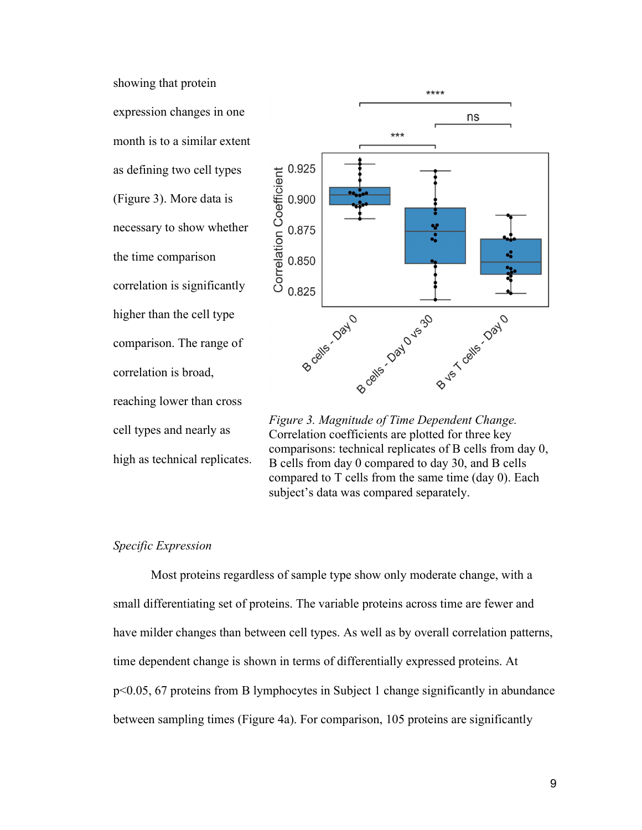showing that protein expression changes in one month is to a similar extent as defining two cell types (Figure 3). More data is necessary to show whether the time comparison correlation is significantly higher than the cell type comparison. The range of correlation is broad, reaching lower than cross cell types and nearly as high as technical replicates.



Figure 3. Magnitude of Time Dependent Change. Correlation coefficients are plotted for three key comparisons: technical replicates of B cells from day 0, B cells from day 0 compared to day 30, and B cells compared to T cells from the same time (day 0). Each subject's data was compared separately.

# Specific Expression

Most proteins regardless of sample type show only moderate change, with a small differentiating set of proteins. The variable proteins across time are fewer and have milder changes than between cell types. As well as by overall correlation patterns, time dependent change is shown in terms of differentially expressed proteins. At p<0.05, 67 proteins from B lymphocytes in Subject 1 change significantly in abundance between sampling times (Figure 4a). For comparison, 105 proteins are significantly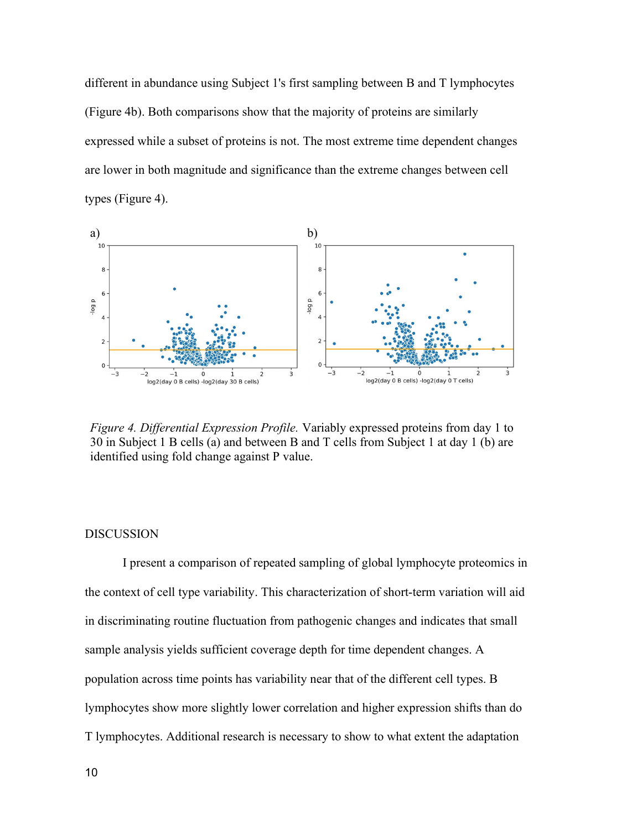different in abundance using Subject 1's first sampling between B and T lymphocytes (Figure 4b). Both comparisons show that the majority of proteins are similarly expressed while a subset of proteins is not. The most extreme time dependent changes are lower in both magnitude and significance than the extreme changes between cell types (Figure 4).



Figure 4. Differential Expression Profile. Variably expressed proteins from day 1 to 30 in Subject 1 B cells (a) and between B and T cells from Subject 1 at day 1 (b) are identified using fold change against P value.

## DISCUSSION

I present a comparison of repeated sampling of global lymphocyte proteomics in the context of cell type variability. This characterization of short-term variation will aid in discriminating routine fluctuation from pathogenic changes and indicates that small sample analysis yields sufficient coverage depth for time dependent changes. A population across time points has variability near that of the different cell types. B lymphocytes show more slightly lower correlation and higher expression shifts than do T lymphocytes. Additional research is necessary to show to what extent the adaptation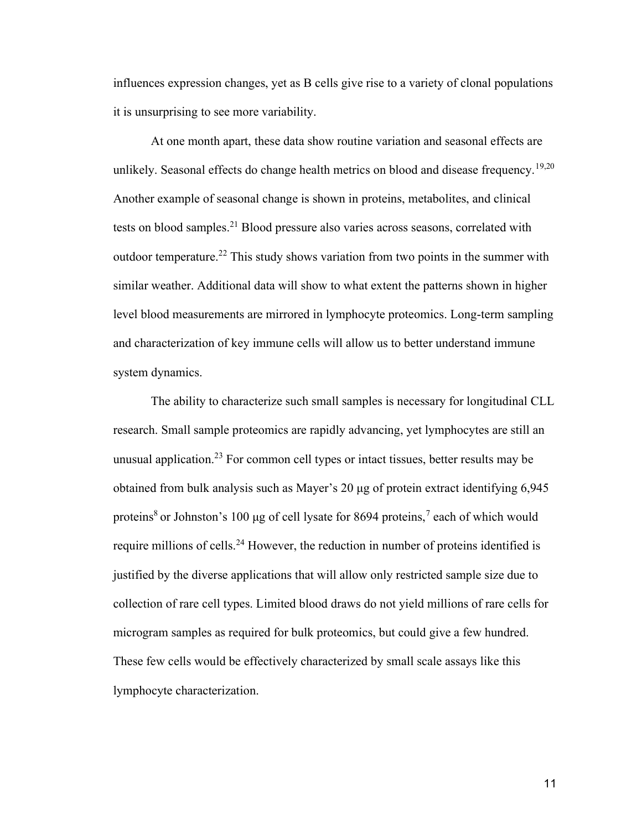influences expression changes, yet as B cells give rise to a variety of clonal populations it is unsurprising to see more variability.

At one month apart, these data show routine variation and seasonal effects are unlikely. Seasonal effects do change health metrics on blood and disease frequency.<sup>19,20</sup> Another example of seasonal change is shown in proteins, metabolites, and clinical tests on blood samples.<sup>21</sup> Blood pressure also varies across seasons, correlated with outdoor temperature.<sup>22</sup> This study shows variation from two points in the summer with similar weather. Additional data will show to what extent the patterns shown in higher level blood measurements are mirrored in lymphocyte proteomics. Long-term sampling and characterization of key immune cells will allow us to better understand immune system dynamics.

The ability to characterize such small samples is necessary for longitudinal CLL research. Small sample proteomics are rapidly advancing, yet lymphocytes are still an unusual application.<sup>23</sup> For common cell types or intact tissues, better results may be obtained from bulk analysis such as Mayer's 20 μg of protein extract identifying 6,945 proteins<sup>8</sup> or Johnston's 100 µg of cell lysate for 8694 proteins,<sup>7</sup> each of which would require millions of cells.<sup>24</sup> However, the reduction in number of proteins identified is justified by the diverse applications that will allow only restricted sample size due to collection of rare cell types. Limited blood draws do not yield millions of rare cells for microgram samples as required for bulk proteomics, but could give a few hundred. These few cells would be effectively characterized by small scale assays like this lymphocyte characterization.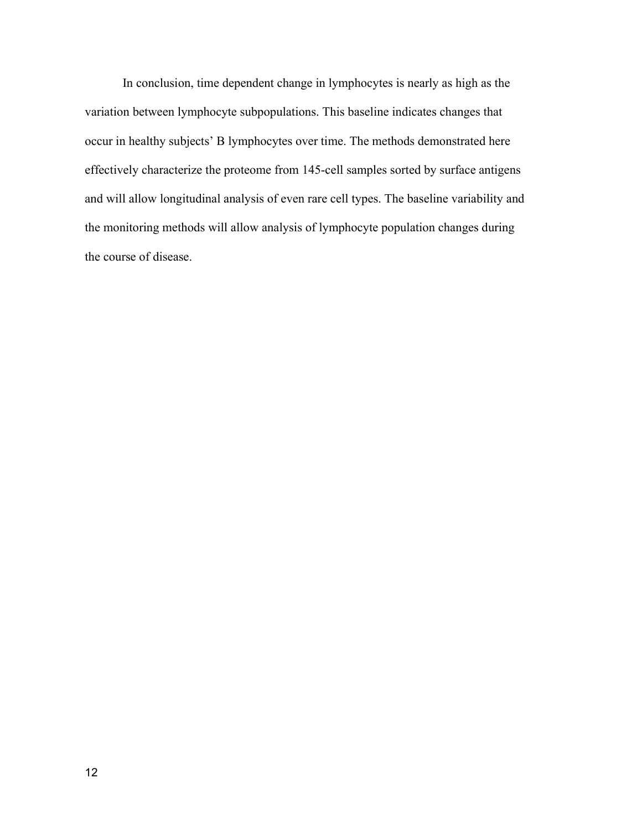In conclusion, time dependent change in lymphocytes is nearly as high as the variation between lymphocyte subpopulations. This baseline indicates changes that occur in healthy subjects' B lymphocytes over time. The methods demonstrated here effectively characterize the proteome from 145-cell samples sorted by surface antigens and will allow longitudinal analysis of even rare cell types. The baseline variability and the monitoring methods will allow analysis of lymphocyte population changes during the course of disease.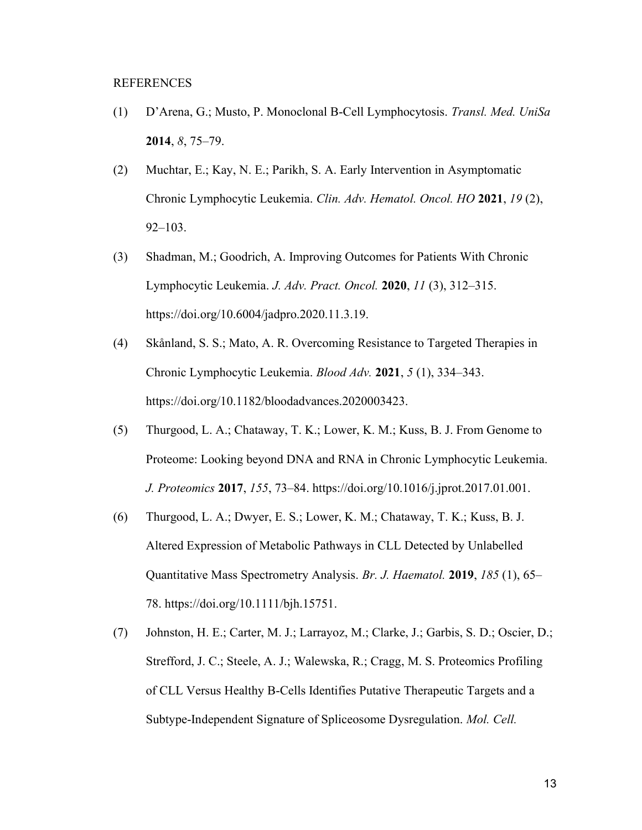## REFERENCES

- (1) D'Arena, G.; Musto, P. Monoclonal B-Cell Lymphocytosis. Transl. Med. UniSa 2014, 8, 75–79.
- (2) Muchtar, E.; Kay, N. E.; Parikh, S. A. Early Intervention in Asymptomatic Chronic Lymphocytic Leukemia. Clin. Adv. Hematol. Oncol. HO 2021, 19 (2), 92–103.
- (3) Shadman, M.; Goodrich, A. Improving Outcomes for Patients With Chronic Lymphocytic Leukemia. J. Adv. Pract. Oncol. 2020, 11 (3), 312–315. https://doi.org/10.6004/jadpro.2020.11.3.19.
- (4) Skånland, S. S.; Mato, A. R. Overcoming Resistance to Targeted Therapies in Chronic Lymphocytic Leukemia. Blood Adv. 2021, 5 (1), 334–343. https://doi.org/10.1182/bloodadvances.2020003423.
- (5) Thurgood, L. A.; Chataway, T. K.; Lower, K. M.; Kuss, B. J. From Genome to Proteome: Looking beyond DNA and RNA in Chronic Lymphocytic Leukemia. J. Proteomics 2017, 155, 73–84. https://doi.org/10.1016/j.jprot.2017.01.001.
- (6) Thurgood, L. A.; Dwyer, E. S.; Lower, K. M.; Chataway, T. K.; Kuss, B. J. Altered Expression of Metabolic Pathways in CLL Detected by Unlabelled Quantitative Mass Spectrometry Analysis. Br. J. Haematol. 2019, 185 (1), 65– 78. https://doi.org/10.1111/bjh.15751.
- (7) Johnston, H. E.; Carter, M. J.; Larrayoz, M.; Clarke, J.; Garbis, S. D.; Oscier, D.; Strefford, J. C.; Steele, A. J.; Walewska, R.; Cragg, M. S. Proteomics Profiling of CLL Versus Healthy B-Cells Identifies Putative Therapeutic Targets and a Subtype-Independent Signature of Spliceosome Dysregulation. Mol. Cell.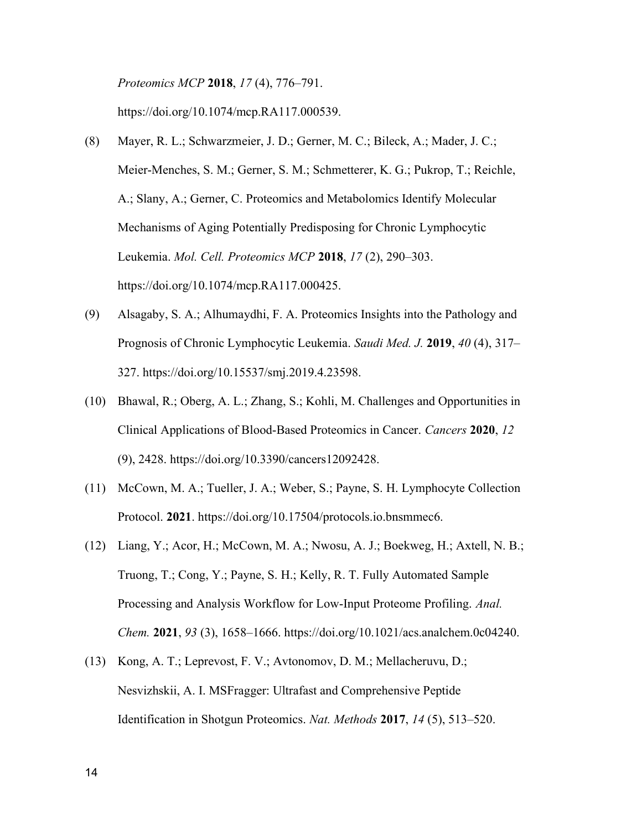Proteomics MCP 2018, 17 (4), 776–791.

https://doi.org/10.1074/mcp.RA117.000539.

- (8) Mayer, R. L.; Schwarzmeier, J. D.; Gerner, M. C.; Bileck, A.; Mader, J. C.; Meier-Menches, S. M.; Gerner, S. M.; Schmetterer, K. G.; Pukrop, T.; Reichle, A.; Slany, A.; Gerner, C. Proteomics and Metabolomics Identify Molecular Mechanisms of Aging Potentially Predisposing for Chronic Lymphocytic Leukemia. Mol. Cell. Proteomics MCP 2018, 17 (2), 290–303. https://doi.org/10.1074/mcp.RA117.000425.
- (9) Alsagaby, S. A.; Alhumaydhi, F. A. Proteomics Insights into the Pathology and Prognosis of Chronic Lymphocytic Leukemia. Saudi Med. J. 2019, 40 (4), 317– 327. https://doi.org/10.15537/smj.2019.4.23598.
- (10) Bhawal, R.; Oberg, A. L.; Zhang, S.; Kohli, M. Challenges and Opportunities in Clinical Applications of Blood-Based Proteomics in Cancer. Cancers 2020, 12 (9), 2428. https://doi.org/10.3390/cancers12092428.
- (11) McCown, M. A.; Tueller, J. A.; Weber, S.; Payne, S. H. Lymphocyte Collection Protocol. 2021. https://doi.org/10.17504/protocols.io.bnsmmec6.
- (12) Liang, Y.; Acor, H.; McCown, M. A.; Nwosu, A. J.; Boekweg, H.; Axtell, N. B.; Truong, T.; Cong, Y.; Payne, S. H.; Kelly, R. T. Fully Automated Sample Processing and Analysis Workflow for Low-Input Proteome Profiling. Anal. Chem. 2021, 93 (3), 1658–1666. https://doi.org/10.1021/acs.analchem.0c04240.
- (13) Kong, A. T.; Leprevost, F. V.; Avtonomov, D. M.; Mellacheruvu, D.; Nesvizhskii, A. I. MSFragger: Ultrafast and Comprehensive Peptide Identification in Shotgun Proteomics. Nat. Methods 2017, 14 (5), 513–520.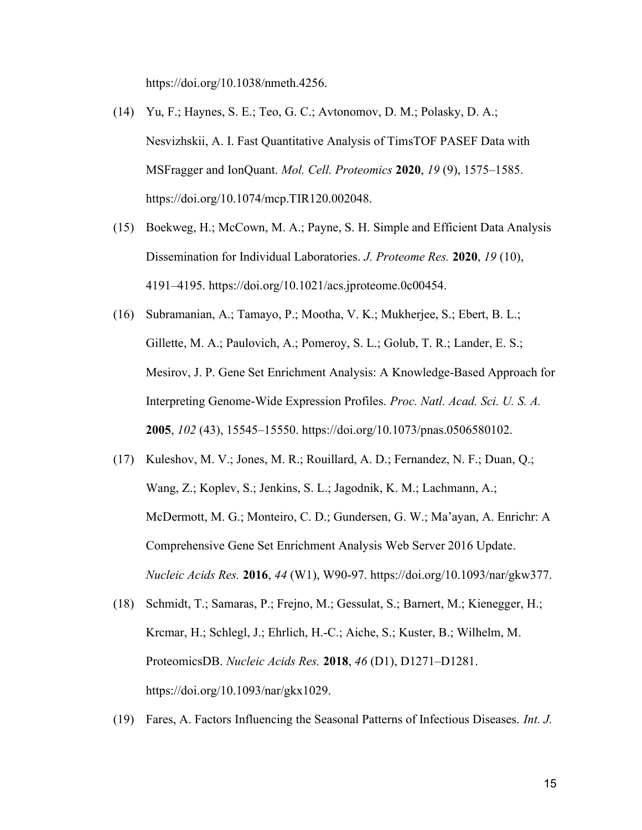https://doi.org/10.1038/nmeth.4256.

- (14) Yu, F.; Haynes, S. E.; Teo, G. C.; Avtonomov, D. M.; Polasky, D. A.; Nesvizhskii, A. I. Fast Quantitative Analysis of TimsTOF PASEF Data with MSFragger and IonQuant. Mol. Cell. Proteomics 2020, 19 (9), 1575–1585. https://doi.org/10.1074/mcp.TIR120.002048.
- (15) Boekweg, H.; McCown, M. A.; Payne, S. H. Simple and Efficient Data Analysis Dissemination for Individual Laboratories. J. Proteome Res. 2020, 19 (10), 4191–4195. https://doi.org/10.1021/acs.jproteome.0c00454.
- (16) Subramanian, A.; Tamayo, P.; Mootha, V. K.; Mukherjee, S.; Ebert, B. L.; Gillette, M. A.; Paulovich, A.; Pomeroy, S. L.; Golub, T. R.; Lander, E. S.; Mesirov, J. P. Gene Set Enrichment Analysis: A Knowledge-Based Approach for Interpreting Genome-Wide Expression Profiles. Proc. Natl. Acad. Sci. U. S. A. 2005, 102 (43), 15545–15550. https://doi.org/10.1073/pnas.0506580102.
- (17) Kuleshov, M. V.; Jones, M. R.; Rouillard, A. D.; Fernandez, N. F.; Duan, Q.; Wang, Z.; Koplev, S.; Jenkins, S. L.; Jagodnik, K. M.; Lachmann, A.; McDermott, M. G.; Monteiro, C. D.; Gundersen, G. W.; Ma'ayan, A. Enrichr: A Comprehensive Gene Set Enrichment Analysis Web Server 2016 Update. Nucleic Acids Res. 2016, 44 (W1), W90-97. https://doi.org/10.1093/nar/gkw377.
- (18) Schmidt, T.; Samaras, P.; Frejno, M.; Gessulat, S.; Barnert, M.; Kienegger, H.; Krcmar, H.; Schlegl, J.; Ehrlich, H.-C.; Aiche, S.; Kuster, B.; Wilhelm, M. ProteomicsDB. Nucleic Acids Res. 2018, 46 (D1), D1271–D1281. https://doi.org/10.1093/nar/gkx1029.
- (19) Fares, A. Factors Influencing the Seasonal Patterns of Infectious Diseases. Int. J.